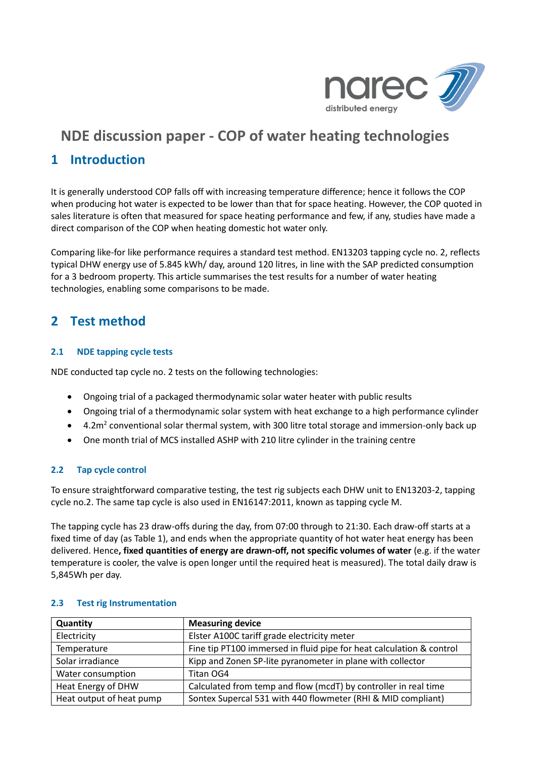

# **1 Introduction**

It is generally understood COP falls off with increasing temperature difference; hence it follows the COP when producing hot water is expected to be lower than that for space heating. However, the COP quoted in sales literature is often that measured for space heating performance and few, if any, studies have made a direct comparison of the COP when heating domestic hot water only.

Comparing like-for like performance requires a standard test method. EN13203 tapping cycle no. 2, reflects typical DHW energy use of 5.845 kWh/ day, around 120 litres, in line with the SAP predicted consumption for a 3 bedroom property. This article summarises the test results for a number of water heating technologies, enabling some comparisons to be made.

# **2 Test method**

# **2.1 NDE tapping cycle tests**

NDE conducted tap cycle no. 2 tests on the following technologies:

- Ongoing trial of a packaged thermodynamic solar water heater with public results
- Ongoing trial of a thermodynamic solar system with heat exchange to a high performance cylinder
- 4.2m<sup>2</sup> conventional solar thermal system, with 300 litre total storage and immersion-only back up
- One month trial of MCS installed ASHP with 210 litre cylinder in the training centre

# **2.2 Tap cycle control**

To ensure straightforward comparative testing, the test rig subjects each DHW unit to EN13203-2, tapping cycle no.2. The same tap cycle is also used in EN16147:2011, known as tapping cycle M.

The tapping cycle has 23 draw-offs during the day, from 07:00 through to 21:30. Each draw-off starts at a fixed time of day (as Table 1), and ends when the appropriate quantity of hot water heat energy has been delivered. Hence**, fixed quantities of energy are drawn-off, not specific volumes of water** (e.g. if the water temperature is cooler, the valve is open longer until the required heat is measured). The total daily draw is 5,845Wh per day.

| <b>Measuring device</b><br>Quantity |                                                                      |  |  |
|-------------------------------------|----------------------------------------------------------------------|--|--|
| Electricity                         | Elster A100C tariff grade electricity meter                          |  |  |
| Temperature                         | Fine tip PT100 immersed in fluid pipe for heat calculation & control |  |  |
| Solar irradiance                    | Kipp and Zonen SP-lite pyranometer in plane with collector           |  |  |
| Water consumption                   | Titan OG4                                                            |  |  |
| Heat Energy of DHW                  | Calculated from temp and flow (mcdT) by controller in real time      |  |  |
| Heat output of heat pump            | Sontex Supercal 531 with 440 flowmeter (RHI & MID compliant)         |  |  |

# **2.3 Test rig Instrumentation**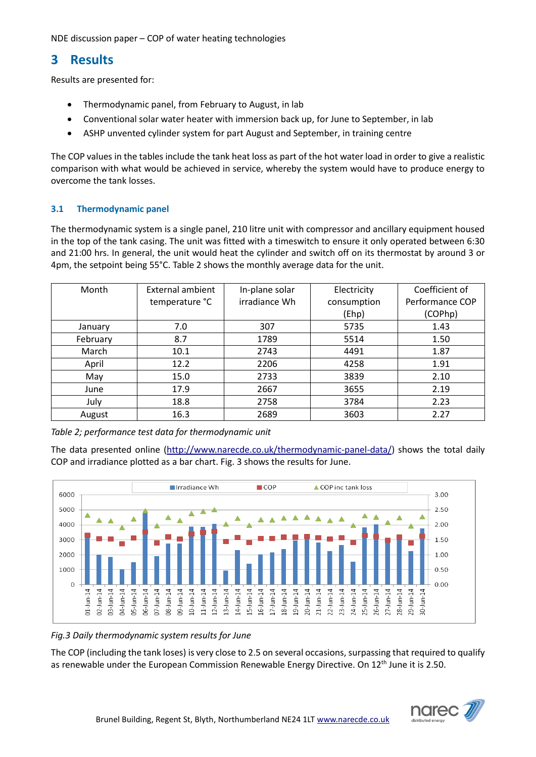# **3 Results**

Results are presented for:

- Thermodynamic panel, from February to August, in lab
- Conventional solar water heater with immersion back up, for June to September, in lab
- ASHP unvented cylinder system for part August and September, in training centre

The COP values in the tables include the tank heat loss as part of the hot water load in order to give a realistic comparison with what would be achieved in service, whereby the system would have to produce energy to overcome the tank losses.

# **3.1 Thermodynamic panel**

The thermodynamic system is a single panel, 210 litre unit with compressor and ancillary equipment housed in the top of the tank casing. The unit was fitted with a timeswitch to ensure it only operated between 6:30 and 21:00 hrs. In general, the unit would heat the cylinder and switch off on its thermostat by around 3 or 4pm, the setpoint being 55°C. Table 2 shows the monthly average data for the unit.

| Month    | External ambient | In-plane solar | Electricity | Coefficient of  |
|----------|------------------|----------------|-------------|-----------------|
|          | temperature °C   | irradiance Wh  | consumption | Performance COP |
|          |                  |                | (Ehp)       | (COPhp)         |
| January  | 7.0              | 307            | 5735        | 1.43            |
| February | 8.7              | 1789           | 5514        | 1.50            |
| March    | 10.1             | 2743           | 4491        | 1.87            |
| April    | 12.2             | 2206           | 4258        | 1.91            |
| May      | 15.0             | 2733           | 3839        | 2.10            |
| June     | 17.9             | 2667           | 3655        | 2.19            |
| July     | 18.8             | 2758           | 3784        | 2.23            |
| August   | 16.3             | 2689           | 3603        | 2.27            |

*Table 2; performance test data for thermodynamic unit*

The data presented online [\(http://www.narecde.co.uk/thermodynamic-panel-data/\)](http://www.narecde.co.uk/thermodynamic-panel-data/) shows the total daily COP and irradiance plotted as a bar chart. Fig. 3 shows the results for June.



#### *Fig.3 Daily thermodynamic system results for June*

The COP (including the tank loses) is very close to 2.5 on several occasions, surpassing that required to qualify as renewable under the European Commission Renewable Energy Directive. On 12<sup>th</sup> June it is 2.50.

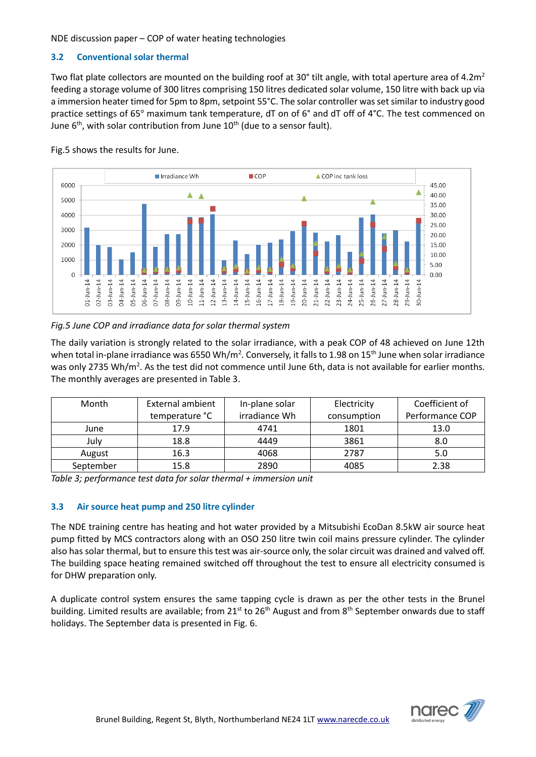# **3.2 Conventional solar thermal**

Two flat plate collectors are mounted on the building roof at 30° tilt angle, with total aperture area of 4.2 $m<sup>2</sup>$ feeding a storage volume of 300 litres comprising 150 litres dedicated solar volume, 150 litre with back up via a immersion heater timed for 5pm to 8pm, setpoint 55°C. The solar controller was set similar to industry good practice settings of 65° maximum tank temperature, dT on of 6° and dT off of 4°C. The test commenced on June  $6<sup>th</sup>$ , with solar contribution from June  $10<sup>th</sup>$  (due to a sensor fault).



Fig.5 shows the results for June.

# *Fig.5 June COP and irradiance data for solar thermal system*

The daily variation is strongly related to the solar irradiance, with a peak COP of 48 achieved on June 12th when total in-plane irradiance was 6550 Wh/m<sup>2</sup>. Conversely, it falls to 1.98 on 15<sup>th</sup> June when solar irradiance was only 2735 Wh/m<sup>2</sup>. As the test did not commence until June 6th, data is not available for earlier months. The monthly averages are presented in Table 3.

| Month     | External ambient | In-plane solar | Electricity | Coefficient of  |
|-----------|------------------|----------------|-------------|-----------------|
|           | temperature °C   | irradiance Wh  | consumption | Performance COP |
| June      | 17.9             | 4741           | 1801        | 13.0            |
| Julv      | 18.8             | 4449           | 3861        | 8.0             |
| August    | 16.3             | 4068           | 2787        | 5.0             |
| September | 15.8             | 2890           | 4085        | 2.38            |

*Table 3; performance test data for solar thermal + immersion unit*

# **3.3 Air source heat pump and 250 litre cylinder**

The NDE training centre has heating and hot water provided by a Mitsubishi EcoDan 8.5kW air source heat pump fitted by MCS contractors along with an OSO 250 litre twin coil mains pressure cylinder. The cylinder also has solar thermal, but to ensure this test was air-source only, the solar circuit was drained and valved off. The building space heating remained switched off throughout the test to ensure all electricity consumed is for DHW preparation only.

A duplicate control system ensures the same tapping cycle is drawn as per the other tests in the Brunel building. Limited results are available; from 21<sup>st</sup> to 26<sup>th</sup> August and from 8<sup>th</sup> September onwards due to staff holidays. The September data is presented in Fig. 6.

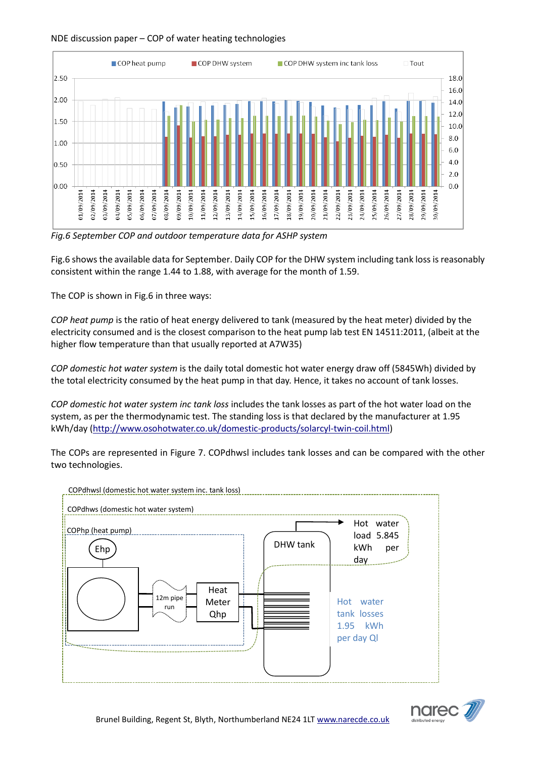

*Fig.6 September COP and outdoor temperature data for ASHP system*

Fig.6 shows the available data for September. Daily COP for the DHW system including tank loss is reasonably consistent within the range 1.44 to 1.88, with average for the month of 1.59.

The COP is shown in Fig.6 in three ways:

*COP heat pump* is the ratio of heat energy delivered to tank (measured by the heat meter) divided by the electricity consumed and is the closest comparison to the heat pump lab test EN 14511:2011, (albeit at the higher flow temperature than that usually reported at A7W35)

*COP domestic hot water system* is the daily total domestic hot water energy draw off (5845Wh) divided by the total electricity consumed by the heat pump in that day. Hence, it takes no account of tank losses.

*COP domestic hot water system inc tank loss* includes the tank losses as part of the hot water load on the system, as per the thermodynamic test. The standing loss is that declared by the manufacturer at 1.95 kWh/day [\(http://www.osohotwater.co.uk/domestic-products/solarcyl-twin-coil.html\)](http://www.osohotwater.co.uk/domestic-products/solarcyl-twin-coil.html)

The COPs are represented in Figure 7. COPdhwsl includes tank losses and can be compared with the other two technologies.



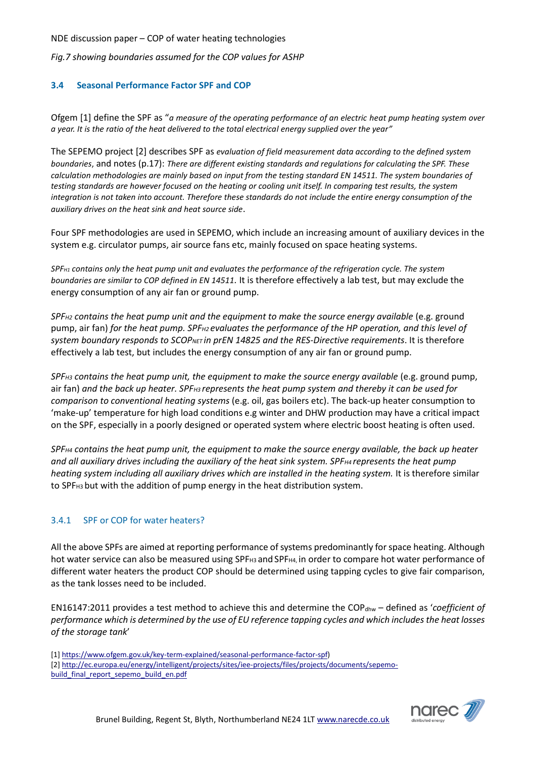*Fig.7 showing boundaries assumed for the COP values for ASHP*

### **3.4 Seasonal Performance Factor SPF and COP**

Ofgem [1] define the SPF as "*a measure of the operating performance of an electric heat pump heating system over a year. It is the ratio of the heat delivered to the total electrical energy supplied over the year"*

The SEPEMO project [2] describes SPF as *evaluation of field measurement data according to the defined system boundaries*, and notes (p.17): *There are different existing standards and regulations for calculating the SPF. These calculation methodologies are mainly based on input from the testing standard EN 14511. The system boundaries of testing standards are however focused on the heating or cooling unit itself. In comparing test results, the system integration is not taken into account. Therefore these standards do not include the entire energy consumption of the auxiliary drives on the heat sink and heat source side*.

Four SPF methodologies are used in SEPEMO, which include an increasing amount of auxiliary devices in the system e.g. circulator pumps, air source fans etc, mainly focused on space heating systems.

*SPFH1 contains only the heat pump unit and evaluates the performance of the refrigeration cycle. The system boundaries are similar to COP defined in EN 14511.* It is therefore effectively a lab test, but may exclude the energy consumption of any air fan or ground pump.

*SPF<sub>H2</sub>* contains the heat pump unit and the equipment to make the source energy available (e.g. ground pump, air fan) *for the heat pump. SPFH2 evaluates the performance of the HP operation, and this level of system boundary responds to SCOPNET in prEN 14825 and the RES-Directive requirements*. It is therefore effectively a lab test, but includes the energy consumption of any air fan or ground pump.

*SPFH3 contains the heat pump unit, the equipment to make the source energy available* (e.g. ground pump, air fan) *and the back up heater. SPFH3 represents the heat pump system and thereby it can be used for comparison to conventional heating systems* (e.g. oil, gas boilers etc). The back-up heater consumption to 'make-up' temperature for high load conditions e.g winter and DHW production may have a critical impact on the SPF, especially in a poorly designed or operated system where electric boost heating is often used.

*SPFH4 contains the heat pump unit, the equipment to make the source energy available, the back up heater and all auxiliary drives including the auxiliary of the heat sink system. SPFH4 represents the heat pump heating system including all auxiliary drives which are installed in the heating system.* It is therefore similar to SPF<sub>H3</sub> but with the addition of pump energy in the heat distribution system.

# 3.4.1 SPF or COP for water heaters?

All the above SPFs are aimed at reporting performance of systems predominantly for space heating. Although hot water service can also be measured using SPF<sub>H3</sub> and SPF<sub>H4</sub>, in order to compare hot water performance of different water heaters the product COP should be determined using tapping cycles to give fair comparison, as the tank losses need to be included.

EN16147:2011 provides a test method to achieve this and determine the COP<sub>dhw</sub> – defined as '*coefficient of performance which is determined by the use of EU reference tapping cycles and which includes the heat losses of the storage tank*'

[1] [https://www.ofgem.gov.uk/key-term-explained/seasonal-performance-factor-spf\)](https://www.ofgem.gov.uk/key-term-explained/seasonal-performance-factor-spf) [2] [http://ec.europa.eu/energy/intelligent/projects/sites/iee-projects/files/projects/documents/sepemo](http://ec.europa.eu/energy/intelligent/projects/sites/iee-projects/files/projects/documents/sepemo-build_final_report_sepemo_build_en.pdf)[build\\_final\\_report\\_sepemo\\_build\\_en.pdf](http://ec.europa.eu/energy/intelligent/projects/sites/iee-projects/files/projects/documents/sepemo-build_final_report_sepemo_build_en.pdf)